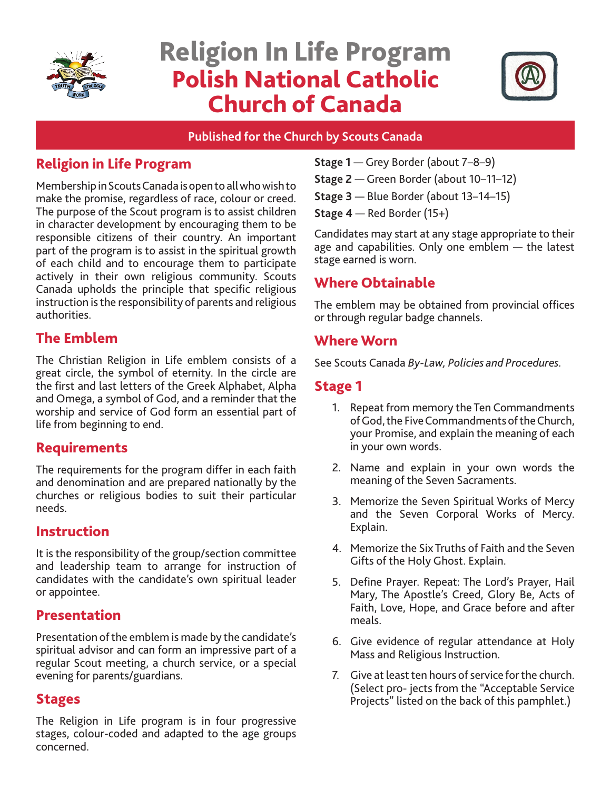

# Religion In Life Program Polish National Catholic Church of Canada



#### **Published for the Church by Scouts Canada**

## Religion in Life Program

Membership in Scouts Canada is open to all who wish to make the promise, regardless of race, colour or creed. The purpose of the Scout program is to assist children in character development by encouraging them to be responsible citizens of their country. An important part of the program is to assist in the spiritual growth of each child and to encourage them to participate actively in their own religious community. Scouts Canada upholds the principle that specific religious instruction is the responsibility of parents and religious authorities.

## The Emblem

The Christian Religion in Life emblem consists of a great circle, the symbol of eternity. In the circle are the first and last letters of the Greek Alphabet, Alpha and Omega, a symbol of God, and a reminder that the worship and service of God form an essential part of life from beginning to end.

## Requirements

The requirements for the program differ in each faith and denomination and are prepared nationally by the churches or religious bodies to suit their particular needs.

## Instruction

It is the responsibility of the group/section committee and leadership team to arrange for instruction of candidates with the candidate's own spiritual leader or appointee.

## Presentation

Presentation of the emblem is made by the candidate's spiritual advisor and can form an impressive part of a regular Scout meeting, a church service, or a special evening for parents/guardians.

## Stages

The Religion in Life program is in four progressive stages, colour-coded and adapted to the age groups concerned.

- **Stage 1** Grey Border (about 7–8–9)
- **Stage 2** Green Border (about 10–11–12)
- **Stage 3** Blue Border (about 13–14–15)
- **Stage 4**  Red Border (15+)

Candidates may start at any stage appropriate to their age and capabilities. Only one emblem — the latest stage earned is worn.

## Where Obtainable

The emblem may be obtained from provincial offices or through regular badge channels.

## Where Worn

See Scouts Canada *By-Law, Policies and Procedures.* 

## Stage 1

- 1. Repeat from memory the Ten Commandments of God, the Five Commandments of the Church, your Promise, and explain the meaning of each in your own words.
- 2. Name and explain in your own words the meaning of the Seven Sacraments.
- 3. Memorize the Seven Spiritual Works of Mercy and the Seven Corporal Works of Mercy. Explain.
- 4. Memorize the Six Truths of Faith and the Seven Gifts of the Holy Ghost. Explain.
- 5. Define Prayer. Repeat: The Lord's Prayer, Hail Mary, The Apostle's Creed, Glory Be, Acts of Faith, Love, Hope, and Grace before and after meals.
- 6. Give evidence of regular attendance at Holy Mass and Religious Instruction.
- 7. Give at least ten hours of service for the church. (Select pro- jects from the "Acceptable Service Projects" listed on the back of this pamphlet.)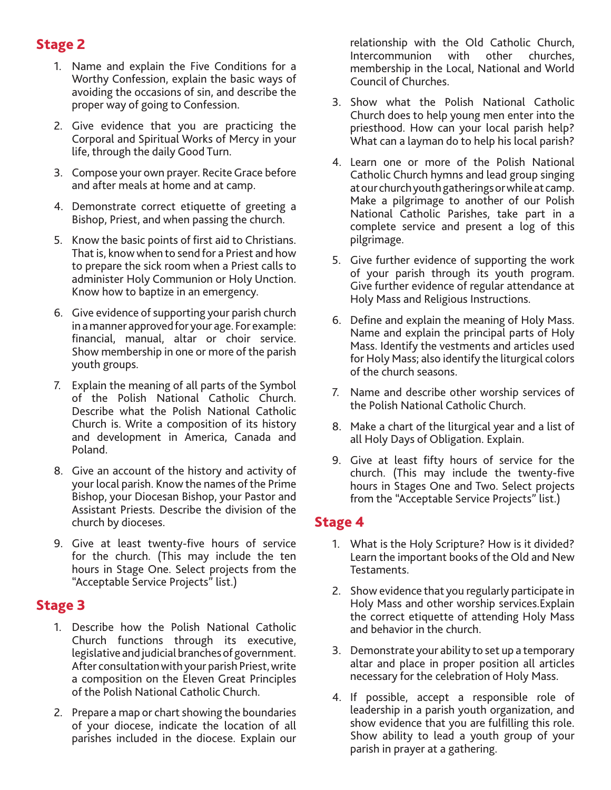## Stage 2

- 1. Name and explain the Five Conditions for a Worthy Confession, explain the basic ways of avoiding the occasions of sin, and describe the proper way of going to Confession.
- 2. Give evidence that you are practicing the Corporal and Spiritual Works of Mercy in your life, through the daily Good Turn.
- 3. Compose your own prayer. Recite Grace before and after meals at home and at camp.
- 4. Demonstrate correct etiquette of greeting a Bishop, Priest, and when passing the church.
- 5. Know the basic points of first aid to Christians. That is, know when to send for a Priest and how to prepare the sick room when a Priest calls to administer Holy Communion or Holy Unction. Know how to baptize in an emergency.
- 6. Give evidence of supporting your parish church in a manner approved for your age. For example: financial, manual, altar or choir service. Show membership in one or more of the parish youth groups.
- 7. Explain the meaning of all parts of the Symbol of the Polish National Catholic Church. Describe what the Polish National Catholic Church is. Write a composition of its history and development in America, Canada and Poland.
- 8. Give an account of the history and activity of your local parish. Know the names of the Prime Bishop, your Diocesan Bishop, your Pastor and Assistant Priests. Describe the division of the church by dioceses.
- 9. Give at least twenty-five hours of service for the church. (This may include the ten hours in Stage One. Select projects from the "Acceptable Service Projects" list.)

## Stage 3

- 1. Describe how the Polish National Catholic Church functions through its executive, legislative and judicial branches of government. After consultation with your parish Priest, write a composition on the Eleven Great Principles of the Polish National Catholic Church.
- 2. Prepare a map or chart showing the boundaries of your diocese, indicate the location of all parishes included in the diocese. Explain our

relationship with the Old Catholic Church, Intercommunion with other churches, membership in the Local, National and World Council of Churches.

- 3. Show what the Polish National Catholic Church does to help young men enter into the priesthood. How can your local parish help? What can a layman do to help his local parish?
- 4. Learn one or more of the Polish National Catholic Church hymns and lead group singing at our church youth gatherings or while at camp. Make a pilgrimage to another of our Polish National Catholic Parishes, take part in a complete service and present a log of this pilgrimage.
- 5. Give further evidence of supporting the work of your parish through its youth program. Give further evidence of regular attendance at Holy Mass and Religious Instructions.
- 6. Define and explain the meaning of Holy Mass. Name and explain the principal parts of Holy Mass. Identify the vestments and articles used for Holy Mass; also identify the liturgical colors of the church seasons.
- 7. Name and describe other worship services of the Polish National Catholic Church.
- 8. Make a chart of the liturgical year and a list of all Holy Days of Obligation. Explain.
- 9. Give at least fifty hours of service for the church. (This may include the twenty-five hours in Stages One and Two. Select projects from the "Acceptable Service Projects" list.)

## Stage 4

- 1. What is the Holy Scripture? How is it divided? Learn the important books of the Old and New Testaments.
- 2. Show evidence that you regularly participate in Holy Mass and other worship services.Explain the correct etiquette of attending Holy Mass and behavior in the church.
- 3. Demonstrate your ability to set up a temporary altar and place in proper position all articles necessary for the celebration of Holy Mass.
- 4. If possible, accept a responsible role of leadership in a parish youth organization, and show evidence that you are fulfilling this role. Show ability to lead a youth group of your parish in prayer at a gathering.